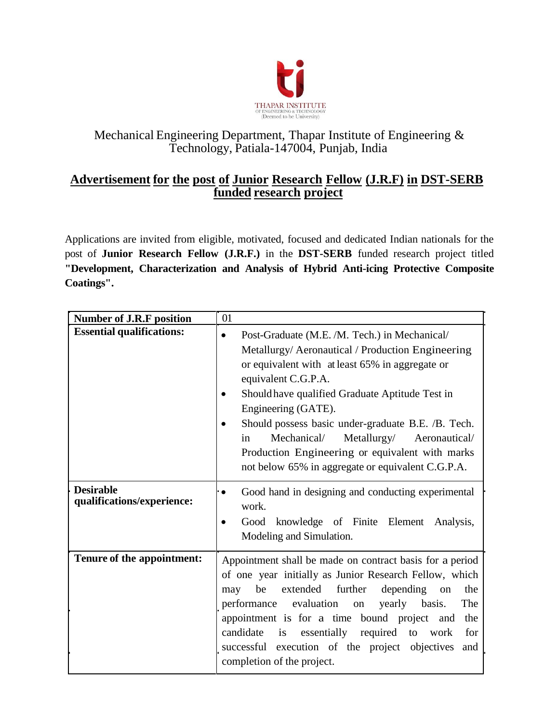

# Mechanical Engineering Department, Thapar Institute of Engineering & Technology, Patiala-147004, Punjab, India

# **Advertisement for the post of Junior Research Fellow (J.R.F) in DST-SERB funded research project**

Applications are invited from eligible, motivated, focused and dedicated Indian nationals for the post of **Junior Research Fellow (J.R.F.)** in the **DST-SERB** funded research project titled **"Development, Characterization and Analysis of Hybrid Anti-icing Protective Composite Coatings".**

| <b>Number of J.R.F position</b>                | 01                                                                                                                                                                                                                                                                                                                                                                                                                                                                                 |  |  |  |
|------------------------------------------------|------------------------------------------------------------------------------------------------------------------------------------------------------------------------------------------------------------------------------------------------------------------------------------------------------------------------------------------------------------------------------------------------------------------------------------------------------------------------------------|--|--|--|
| <b>Essential qualifications:</b>               | Post-Graduate (M.E. /M. Tech.) in Mechanical/<br>$\bullet$<br>Metallurgy/Aeronautical / Production Engineering<br>or equivalent with at least 65% in aggregate or<br>equivalent C.G.P.A.<br>Should have qualified Graduate Aptitude Test in<br>Engineering (GATE).<br>Should possess basic under-graduate B.E. /B. Tech.<br>Mechanical/<br>Metallurgy/ Aeronautical/<br>in<br>Production Engineering or equivalent with marks<br>not below 65% in aggregate or equivalent C.G.P.A. |  |  |  |
| <b>Desirable</b><br>qualifications/experience: | Good hand in designing and conducting experimental<br>$\bullet$<br>work.<br>Good knowledge of Finite Element<br>Analysis,<br>Modeling and Simulation.                                                                                                                                                                                                                                                                                                                              |  |  |  |
| Tenure of the appointment:                     | Appointment shall be made on contract basis for a period<br>of one year initially as Junior Research Fellow, which<br>be<br>extended further<br>depending<br>the<br>may<br>on<br>performance evaluation<br>The<br>yearly basis.<br>on<br>appointment is for a time bound project and<br>the<br>candidate is essentially required to work<br>for<br>successful execution of the project objectives<br>and<br>completion of the project.                                             |  |  |  |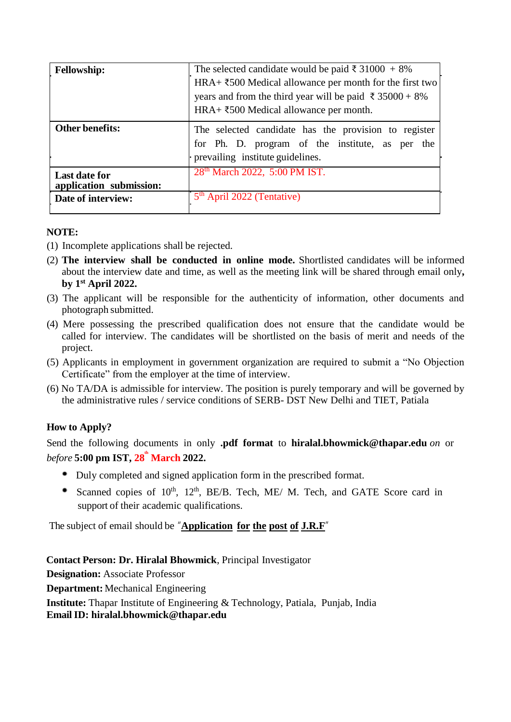| <b>Fellowship:</b>                              | The selected candidate would be paid $\bar{\xi}$ 31000 + 8%<br>HRA+ $\text{\textsterling}500$ Medical allowance per month for the first two<br>years and from the third year will be paid $\bar{\xi}$ 35000 + 8%<br>$HRA+ \xi 500$ Medical allowance per month.<br>The selected candidate has the provision to register<br>for Ph. D. program of the institute, as per the<br>prevailing institute guidelines. |  |  |  |
|-------------------------------------------------|----------------------------------------------------------------------------------------------------------------------------------------------------------------------------------------------------------------------------------------------------------------------------------------------------------------------------------------------------------------------------------------------------------------|--|--|--|
| <b>Other benefits:</b>                          |                                                                                                                                                                                                                                                                                                                                                                                                                |  |  |  |
| <b>Last date for</b><br>application submission: | 28 <sup>th</sup> March 2022, 5:00 PM IST.                                                                                                                                                                                                                                                                                                                                                                      |  |  |  |
| Date of interview:                              | 5 <sup>th</sup> April 2022 (Tentative)                                                                                                                                                                                                                                                                                                                                                                         |  |  |  |

## **NOTE:**

- (1) Incomplete applications shall be rejected.
- (2) **The interview shall be conducted in online mode.** Shortlisted candidates will be informed about the interview date and time, as well as the meeting link will be shared through email only**, by 1st April 2022.**
- (3) The applicant will be responsible for the authenticity of information, other documents and photograph submitted.
- (4) Mere possessing the prescribed qualification does not ensure that the candidate would be called for interview. The candidates will be shortlisted on the basis of merit and needs of the project.
- (5) Applicants in employment in government organization are required to submit a "No Objection Certificate" from the employer at the time of interview.
- (6) No TA/DA is admissible for interview. The position is purely temporary and will be governed by the administrative rules / service conditions of SERB- DST New Delhi and TIET, Patiala

## **How to Apply?**

Send the following documents in only **.pdf format** to **hiralal.bhowmick@thapar.edu** *on* or *before* **5:00 pm IST, 28 th March 2022.**

- Duly completed and signed application form in the prescribed format.
- Scanned copies of  $10^{th}$ ,  $12^{th}$ , BE/B. Tech, ME/ M. Tech, and GATE Score card in support of their academic qualifications.

The subject of email should be "**Application for the post of J.R.F**"

**Contact Person: Dr. Hiralal Bhowmick**, Principal Investigator

**Designation:** Associate Professor

**Department:** Mechanical Engineering

**Institute:** Thapar Institute of Engineering & Technology, Patiala, Punjab, India **EmailID: hiralal.bhowmick@thapar.edu**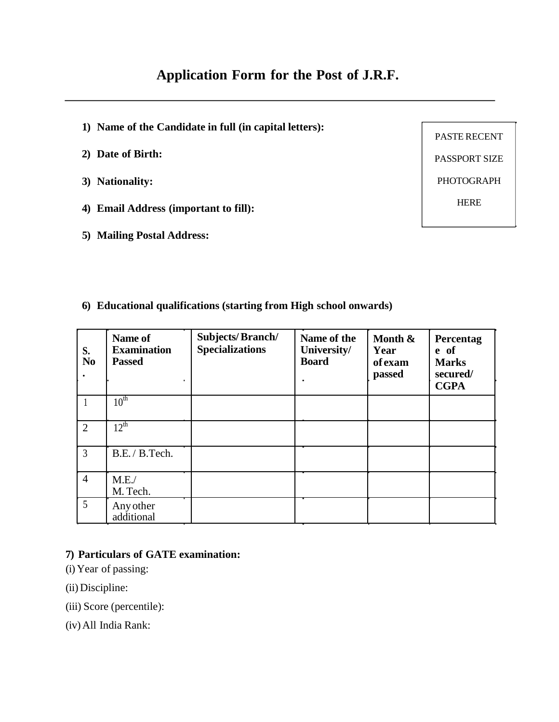# **Application Form for the Post of J.R.F.**

- **1) Name of the Candidate in full (in capital letters):**
- **2) Date of Birth:**
- **3) Nationality:**
- **4) Email Address (important to fill):**
- **5) Mailing Postal Address:**

PASTE RECENT PASSPORT SIZE PHOTOGRAPH HERE

**6) Educational qualifications (starting from High school onwards)**

| S.<br>N <sub>0</sub> | Name of<br><b>Examination</b><br><b>Passed</b> | <b>Subjects/Branch/</b><br><b>Specializations</b> | Name of the<br>University/<br><b>Board</b><br>$\blacksquare$ | Month &<br>Year<br><b>of</b> exam<br>passed | Percentag<br>e of<br><b>Marks</b><br>secured/<br><b>CGPA</b> |
|----------------------|------------------------------------------------|---------------------------------------------------|--------------------------------------------------------------|---------------------------------------------|--------------------------------------------------------------|
|                      | 10 <sup>th</sup>                               |                                                   |                                                              |                                             |                                                              |
| $\overline{2}$       | $12^{\text{th}}$                               |                                                   |                                                              |                                             |                                                              |
| $\mathfrak{Z}$       | B.E. / B.Tech.                                 |                                                   |                                                              |                                             |                                                              |
| $\overline{4}$       | M.E.<br>M. Tech.                               |                                                   |                                                              |                                             |                                                              |
| $\overline{5}$       | Any other<br>additional                        |                                                   |                                                              |                                             |                                                              |

#### **7) Particulars of GATE examination:**

- (i) Year of passing:
- (ii) Discipline:
- (iii) Score (percentile):
- (iv) All India Rank: